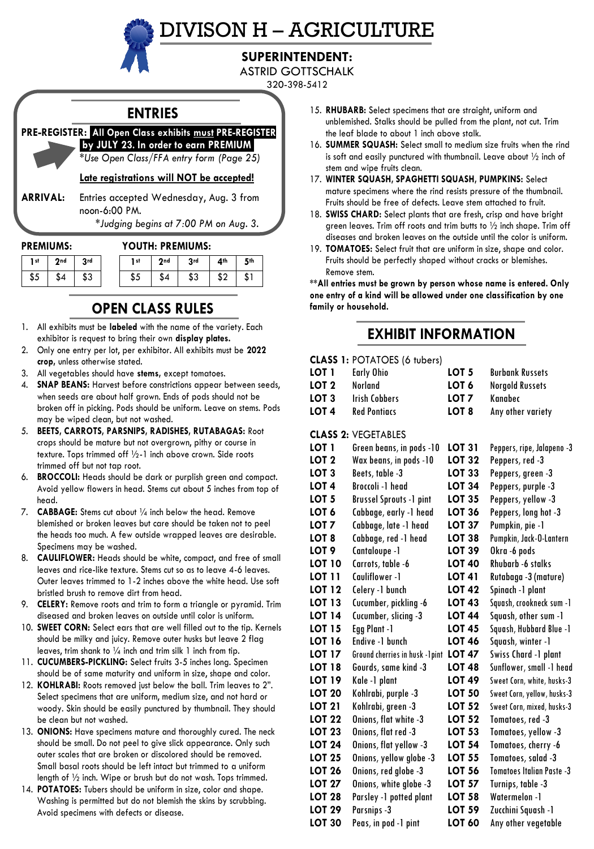DIVISON H – AGRICULTURE



## **SUPERINTENDENT:**

ASTRID GOTTSCHALK

320-398-5412



- 1. All exhibits must be **labeled** with the name of the variety. Each exhibitor is request to bring their own **display plates.**
- 2. Only one entry per lot, per exhibitor. All exhibits must be **2022 crop,** unless otherwise stated.
- 3. All vegetables should have **stems,** except tomatoes.
- 4. **SNAP BEANS:** Harvest before constrictions appear between seeds, when seeds are about half grown. Ends of pods should not be broken off in picking. Pods should be uniform. Leave on stems. Pods may be wiped clean, but not washed.
- 5. **BEETS, CARROTS, PARSNIPS, RADISHES, RUTABAGAS:** Root crops should be mature but not overgrown, pithy or course in texture. Tops trimmed off ½-1 inch above crown. Side roots trimmed off but not tap root.
- 6. **BROCCOLI:** Heads should be dark or purplish green and compact. Avoid yellow flowers in head. Stems cut about 5 inches from top of head.
- 7. **CABBAGE:** Stems cut about ¼ inch below the head. Remove blemished or broken leaves but care should be taken not to peel the heads too much. A few outside wrapped leaves are desirable. Specimens may be washed.
- 8. **CAULIFLOWER:** Heads should be white, compact, and free of small leaves and rice-like texture. Stems cut so as to leave 4-6 leaves. Outer leaves trimmed to 1-2 inches above the white head. Use soft bristled brush to remove dirt from head.
- 9. **CELERY:** Remove roots and trim to form a triangle or pyramid. Trim diseased and broken leaves on outside until color is uniform.
- 10. **SWEET CORN:** Select ears that are well filled out to the tip. Kernels should be milky and juicy. Remove outer husks but leave 2 flag leaves, trim shank to  $\frac{1}{4}$  inch and trim silk 1 inch from tip.
- 11. **CUCUMBERS-PICKLING:** Select fruits 3-5 inches long. Specimen should be of same maturity and uniform in size, shape and color.
- 12. **KOHLRABI:** Roots removed just below the ball. Trim leaves to 2". Select specimens that are uniform, medium size, and not hard or woody. Skin should be easily punctured by thumbnail. They should be clean but not washed.
- 13. **ONIONS:** Have specimens mature and thoroughly cured. The neck should be small. Do not peel to give slick appearance. Only such outer scales that are broken or discolored should be removed. Small basal roots should be left intact but trimmed to a uniform length of ½ inch. Wipe or brush but do not wash. Tops trimmed.
- 14. **POTATOES:** Tubers should be uniform in size, color and shape. Washing is permitted but do not blemish the skins by scrubbing. Avoid specimens with defects or disease.
- 15. **RHUBARB:** Select specimens that are straight, uniform and unblemished. Stalks should be pulled from the plant, not cut. Trim the leaf blade to about 1 inch above stalk.
- 16. **SUMMER SQUASH:** Select small to medium size fruits when the rind is soft and easily punctured with thumbnail. Leave about ½ inch of stem and wipe fruits clean.
- 17. **WINTER SQUASH, SPAGHETTI SQUASH, PUMPKINS:** Select mature specimens where the rind resists pressure of the thumbnail. Fruits should be free of defects. Leave stem attached to fruit.
- 18. **SWISS CHARD:** Select plants that are fresh, crisp and have bright green leaves. Trim off roots and trim butts to  $\frac{1}{2}$  inch shape. Trim off diseases and broken leaves on the outside until the color is uniform.
- 19. **TOMATOES:** Select fruit that are uniform in size, shape and color. Fruits should be perfectly shaped without cracks or blemishes. Remove stem.

**\*\*All entries must be grown by person whose name is entered. Only one entry of a kind will be allowed under one classification by one family or household.**

## **EXHIBIT INFORMATION**

#### **CLASS 1:** POTATOES (6 tubers)

| LOT 1 | <b>Early Ohio</b>    | LOT 5            | <b>Burbank Russets</b> |
|-------|----------------------|------------------|------------------------|
| LOT 2 | Norland              | LOT 6            | <b>Norgold Russets</b> |
| LOT 3 | <b>Irish Cobbers</b> | LOT <sub>7</sub> | Kanabec                |
| LOT 4 | <b>Red Pontiacs</b>  | LOT 8            | Any other variety      |
|       |                      |                  |                        |

#### **CLASS 2:** VEGETABLES

| LOT 1            | Green beans, in pods -10        | LOT 31        | Peppers, ripe, Jalapeno -3       |
|------------------|---------------------------------|---------------|----------------------------------|
| LOT <sub>2</sub> | Wax beans, in pods -10          | LOT 32        | Peppers, red -3                  |
| LOT <sub>3</sub> | Beets, table -3                 | <b>LOT 33</b> | Peppers, green -3                |
| LOT <sub>4</sub> | Broccoli -1 head                | <b>LOT 34</b> | Peppers, purple -3               |
| LOT 5            | <b>Brussel Sprouts -1 pint</b>  | LOT 35        | Peppers, yellow -3               |
| LOT <sub>6</sub> | Cabbage, early -1 head          | <b>LOT 36</b> | Peppers, long hot -3             |
| <b>LOT 7</b>     | Cabbage, late -1 head           | <b>LOT 37</b> | Pumpkin, pie -1                  |
| LOT 8            | Cabbage, red -1 head            | <b>LOT 38</b> | Pumpkin, Jack-O-Lantern          |
| LOT <sub>9</sub> | Cantaloupe -1                   | <b>LOT 39</b> | Okra-6 pods                      |
| <b>LOT 10</b>    | Carrots, table -6               | <b>LOT 40</b> | Rhubarb -6 stalks                |
| <b>LOT 11</b>    | Cauliflower -1                  | LOT 41        | Rutabaga -3 (mature)             |
| <b>LOT 12</b>    | Celery -1 bunch                 | <b>LOT 42</b> | Spinach -1 plant                 |
| <b>LOT 13</b>    | Cucumber, pickling -6           | LOT 43        | Squash, crookneck sum -1         |
| <b>LOT 14</b>    | Cucumber, slicing -3            | <b>LOT 44</b> | Squash, other sum -1             |
| <b>LOT 15</b>    | Egg Plant -1                    | <b>LOT 45</b> | Squash, Hubbard Blue -1          |
| <b>LOT 16</b>    | Endive -1 bunch                 | LOT 46        | Squash, winter -1                |
| <b>LOT 17</b>    | Ground cherries in husk -1 pint | <b>LOT 47</b> | Swiss Chard -1 plant             |
| <b>LOT 18</b>    | Gourds, same kind -3            | <b>LOT 48</b> | Sunflower, small -1 head         |
| <b>LOT 19</b>    | Kale -1 plant                   | <b>LOT 49</b> | Sweet Corn, white, husks-3       |
| <b>LOT 20</b>    | Kohlrabi, purple -3             | <b>LOT 50</b> | Sweet Corn, yellow, husks-3      |
| <b>LOT 21</b>    | Kohlrabi, green -3              | LOT 52        | Sweet Corn, mixed, husks-3       |
| <b>LOT 22</b>    | Onions, flat white -3           | <b>LOT 52</b> | Tomatoes, red -3                 |
| <b>LOT 23</b>    | Onions, flat red -3             | <b>LOT 53</b> | Tomatoes, yellow -3              |
| <b>LOT 24</b>    | Onions, flat yellow -3          | <b>LOT 54</b> | Tomatoes, cherry -6              |
| <b>LOT 25</b>    | Onions, yellow globe -3         | <b>LOT 55</b> | Tomatoes, salad -3               |
| <b>LOT 26</b>    | Onions, red globe -3            | <b>LOT 56</b> | <b>Tomatoes Italian Paste -3</b> |
| <b>LOT 27</b>    | Onions, white globe -3          | <b>LOT 57</b> | Turnips, table -3                |
| <b>LOT 28</b>    | Parsley -1 potted plant         | <b>LOT 58</b> | Watermelon -1                    |
| <b>LOT 29</b>    | Parsnips - 3                    | <b>LOT 59</b> | Zucchini Squash -1               |
| <b>LOT 30</b>    | Peas, in pod -1 pint            | <b>LOT 60</b> | Any other vegetable              |